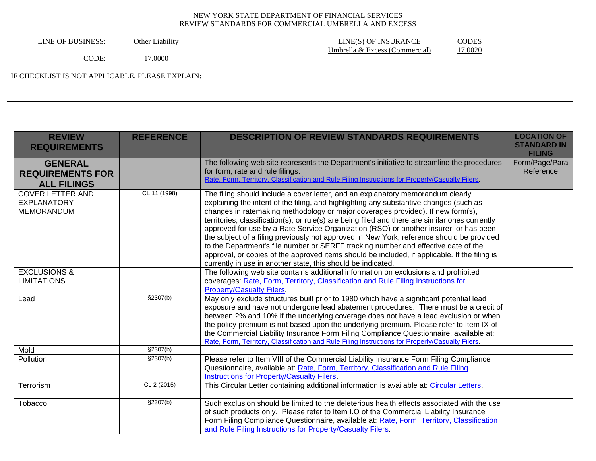| Other Liability |
|-----------------|
|                 |

LINE OF BUSINESS: Other Liability LINE(S) OF INSURANCE CODES<br>Umbrella & Excess (Commercial) 17.0020 Umbrella & Excess (Commercial)

CODE: 17.0000

IF CHECKLIST IS NOT APPLICABLE, PLEASE EXPLAIN:

| <b>REVIEW</b><br><b>REQUIREMENTS</b>                            | <b>REFERENCE</b> | <b>DESCRIPTION OF REVIEW STANDARDS REQUIREMENTS</b>                                                                                                                                                                                                                                                                                                                                                                                                                                                                                                                                                                                                                                                                                                                                                          | <b>LOCATION OF</b><br><b>STANDARD IN</b><br><b>FILING</b> |
|-----------------------------------------------------------------|------------------|--------------------------------------------------------------------------------------------------------------------------------------------------------------------------------------------------------------------------------------------------------------------------------------------------------------------------------------------------------------------------------------------------------------------------------------------------------------------------------------------------------------------------------------------------------------------------------------------------------------------------------------------------------------------------------------------------------------------------------------------------------------------------------------------------------------|-----------------------------------------------------------|
| <b>GENERAL</b><br><b>REQUIREMENTS FOR</b><br><b>ALL FILINGS</b> |                  | The following web site represents the Department's initiative to streamline the procedures<br>for form, rate and rule filings:<br>Rate, Form, Territory, Classification and Rule Filing Instructions for Property/Casualty Filers.                                                                                                                                                                                                                                                                                                                                                                                                                                                                                                                                                                           | Form/Page/Para<br>Reference                               |
| <b>COVER LETTER AND</b><br><b>EXPLANATORY</b><br>MEMORANDUM     | CL 11 (1998)     | The filing should include a cover letter, and an explanatory memorandum clearly<br>explaining the intent of the filing, and highlighting any substantive changes (such as<br>changes in ratemaking methodology or major coverages provided). If new form(s),<br>territories, classification(s), or rule(s) are being filed and there are similar ones currently<br>approved for use by a Rate Service Organization (RSO) or another insurer, or has been<br>the subject of a filing previously not approved in New York, reference should be provided<br>to the Department's file number or SERFF tracking number and effective date of the<br>approval, or copies of the approved items should be included, if applicable. If the filing is<br>currently in use in another state, this should be indicated. |                                                           |
| <b>EXCLUSIONS &amp;</b><br><b>LIMITATIONS</b>                   |                  | The following web site contains additional information on exclusions and prohibited<br>coverages: Rate, Form, Territory, Classification and Rule Filing Instructions for<br><b>Property/Casualty Filers.</b>                                                                                                                                                                                                                                                                                                                                                                                                                                                                                                                                                                                                 |                                                           |
| Lead                                                            | \$2307(b)        | May only exclude structures built prior to 1980 which have a significant potential lead<br>exposure and have not undergone lead abatement procedures. There must be a credit of<br>between 2% and 10% if the underlying coverage does not have a lead exclusion or when<br>the policy premium is not based upon the underlying premium. Please refer to Item IX of<br>the Commercial Liability Insurance Form Filing Compliance Questionnaire, available at:<br>Rate, Form, Territory, Classification and Rule Filing Instructions for Property/Casualty Filers.                                                                                                                                                                                                                                             |                                                           |
| Mold                                                            | \$2307(b)        |                                                                                                                                                                                                                                                                                                                                                                                                                                                                                                                                                                                                                                                                                                                                                                                                              |                                                           |
| Pollution                                                       | §2307(b)         | Please refer to Item VIII of the Commercial Liability Insurance Form Filing Compliance<br>Questionnaire, available at: Rate, Form, Territory, Classification and Rule Filing<br><b>Instructions for Property/Casualty Filers.</b>                                                                                                                                                                                                                                                                                                                                                                                                                                                                                                                                                                            |                                                           |
| Terrorism                                                       | CL 2 (2015)      | This Circular Letter containing additional information is available at: Circular Letters.                                                                                                                                                                                                                                                                                                                                                                                                                                                                                                                                                                                                                                                                                                                    |                                                           |
| Tobacco                                                         | \$2307(b)        | Such exclusion should be limited to the deleterious health effects associated with the use<br>of such products only. Please refer to Item I.O of the Commercial Liability Insurance<br>Form Filing Compliance Questionnaire, available at: Rate, Form, Territory, Classification<br>and Rule Filing Instructions for Property/Casualty Filers.                                                                                                                                                                                                                                                                                                                                                                                                                                                               |                                                           |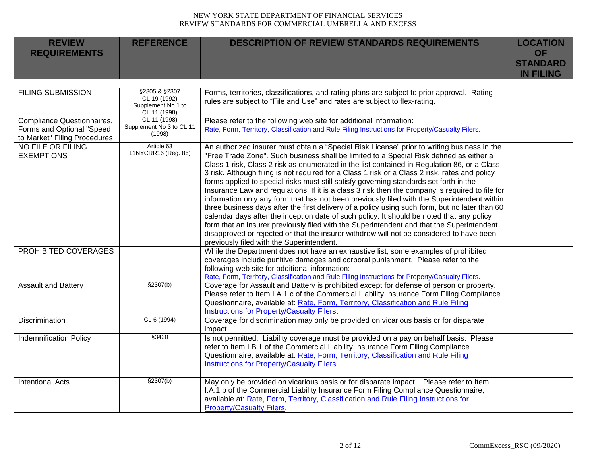| <b>REVIEW</b><br><b>REQUIREMENTS</b>                                                    | <b>REFERENCE</b>                                                    | <b>DESCRIPTION OF REVIEW STANDARDS REQUIREMENTS</b>                                                                                                                                                                                                                                                                                                                                                                                                                                                                                                                                                                                                                                                                                                                                                                                                                                                                                                                                                                                                                                                                      | <b>LOCATION</b><br><b>OF</b><br><b>STANDARD</b><br><b>IN FILING</b> |
|-----------------------------------------------------------------------------------------|---------------------------------------------------------------------|--------------------------------------------------------------------------------------------------------------------------------------------------------------------------------------------------------------------------------------------------------------------------------------------------------------------------------------------------------------------------------------------------------------------------------------------------------------------------------------------------------------------------------------------------------------------------------------------------------------------------------------------------------------------------------------------------------------------------------------------------------------------------------------------------------------------------------------------------------------------------------------------------------------------------------------------------------------------------------------------------------------------------------------------------------------------------------------------------------------------------|---------------------------------------------------------------------|
| <b>FILING SUBMISSION</b>                                                                | §2305 & §2307<br>CL 19 (1992)<br>Supplement No 1 to<br>CL 11 (1998) | Forms, territories, classifications, and rating plans are subject to prior approval. Rating<br>rules are subject to "File and Use" and rates are subject to flex-rating.                                                                                                                                                                                                                                                                                                                                                                                                                                                                                                                                                                                                                                                                                                                                                                                                                                                                                                                                                 |                                                                     |
| Compliance Questionnaires,<br>Forms and Optional "Speed<br>to Market" Filing Procedures | CL 11 (1998)<br>Supplement No 3 to CL 11<br>(1998)                  | Please refer to the following web site for additional information:<br>Rate, Form, Territory, Classification and Rule Filing Instructions for Property/Casualty Filers.                                                                                                                                                                                                                                                                                                                                                                                                                                                                                                                                                                                                                                                                                                                                                                                                                                                                                                                                                   |                                                                     |
| <b>NO FILE OR FILING</b><br><b>EXEMPTIONS</b>                                           | Article 63<br>11NYCRR16 (Reg. 86)                                   | An authorized insurer must obtain a "Special Risk License" prior to writing business in the<br>"Free Trade Zone". Such business shall be limited to a Special Risk defined as either a<br>Class 1 risk, Class 2 risk as enumerated in the list contained in Regulation 86, or a Class<br>3 risk. Although filing is not required for a Class 1 risk or a Class 2 risk, rates and policy<br>forms applied to special risks must still satisfy governing standards set forth in the<br>Insurance Law and regulations. If it is a class 3 risk then the company is required to file for<br>information only any form that has not been previously filed with the Superintendent within<br>three business days after the first delivery of a policy using such form, but no later than 60<br>calendar days after the inception date of such policy. It should be noted that any policy<br>form that an insurer previously filed with the Superintendent and that the Superintendent<br>disapproved or rejected or that the insurer withdrew will not be considered to have been<br>previously filed with the Superintendent. |                                                                     |
| PROHIBITED COVERAGES                                                                    |                                                                     | While the Department does not have an exhaustive list, some examples of prohibited<br>coverages include punitive damages and corporal punishment. Please refer to the<br>following web site for additional information:<br>Rate, Form, Territory, Classification and Rule Filing Instructions for Property/Casualty Filers.                                                                                                                                                                                                                                                                                                                                                                                                                                                                                                                                                                                                                                                                                                                                                                                              |                                                                     |
| <b>Assault and Battery</b>                                                              | \$2307(b)                                                           | Coverage for Assault and Battery is prohibited except for defense of person or property.<br>Please refer to Item I.A.1.c of the Commercial Liability Insurance Form Filing Compliance<br>Questionnaire, available at: Rate, Form, Territory, Classification and Rule Filing<br>Instructions for Property/Casualty Filers.                                                                                                                                                                                                                                                                                                                                                                                                                                                                                                                                                                                                                                                                                                                                                                                                |                                                                     |
| <b>Discrimination</b>                                                                   | CL 6 (1994)                                                         | Coverage for discrimination may only be provided on vicarious basis or for disparate<br>impact.                                                                                                                                                                                                                                                                                                                                                                                                                                                                                                                                                                                                                                                                                                                                                                                                                                                                                                                                                                                                                          |                                                                     |
| <b>Indemnification Policy</b>                                                           | §3420                                                               | Is not permitted. Liability coverage must be provided on a pay on behalf basis. Please<br>refer to Item I.B.1 of the Commercial Liability Insurance Form Filing Compliance<br>Questionnaire, available at: Rate, Form, Territory, Classification and Rule Filing<br>Instructions for Property/Casualty Filers.                                                                                                                                                                                                                                                                                                                                                                                                                                                                                                                                                                                                                                                                                                                                                                                                           |                                                                     |
| <b>Intentional Acts</b>                                                                 | \$2307(b)                                                           | May only be provided on vicarious basis or for disparate impact.  Please refer to Item<br>I.A.1.b of the Commercial Liability Insurance Form Filing Compliance Questionnaire,<br>available at: Rate, Form, Territory, Classification and Rule Filing Instructions for<br><b>Property/Casualty Filers.</b>                                                                                                                                                                                                                                                                                                                                                                                                                                                                                                                                                                                                                                                                                                                                                                                                                |                                                                     |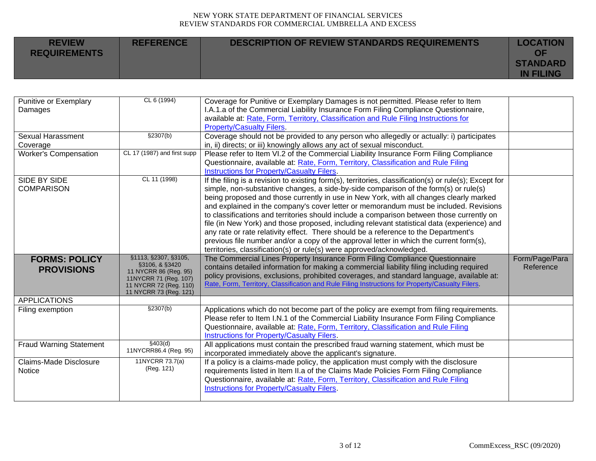| <b>REVIEW</b><br><b>REQUIREMENTS</b> | <b>REFERENCE</b> | <b>DESCRIPTION OF REVIEW STANDARDS REQUIREMENTS</b> | <b>LOCATION</b><br>ΩF               |
|--------------------------------------|------------------|-----------------------------------------------------|-------------------------------------|
|                                      |                  |                                                     | <b>STANDARD</b><br><b>IN FILING</b> |

| Punitive or Exemplary<br>Damages          | CL 6 (1994)                                                                                                                                  | Coverage for Punitive or Exemplary Damages is not permitted. Please refer to Item<br>I.A.1.a of the Commercial Liability Insurance Form Filing Compliance Questionnaire,<br>available at: Rate, Form, Territory, Classification and Rule Filing Instructions for<br><b>Property/Casualty Filers.</b>                                                                                                                                                                                                                                                                                                                                                                                                                                                                                                                                     |                             |
|-------------------------------------------|----------------------------------------------------------------------------------------------------------------------------------------------|------------------------------------------------------------------------------------------------------------------------------------------------------------------------------------------------------------------------------------------------------------------------------------------------------------------------------------------------------------------------------------------------------------------------------------------------------------------------------------------------------------------------------------------------------------------------------------------------------------------------------------------------------------------------------------------------------------------------------------------------------------------------------------------------------------------------------------------|-----------------------------|
| Sexual Harassment<br>Coverage             | \$2307(b)                                                                                                                                    | Coverage should not be provided to any person who allegedly or actually: i) participates<br>in, ii) directs; or iii) knowingly allows any act of sexual misconduct.                                                                                                                                                                                                                                                                                                                                                                                                                                                                                                                                                                                                                                                                      |                             |
| <b>Worker's Compensation</b>              | CL 17 (1987) and first supp                                                                                                                  | Please refer to Item VI.2 of the Commercial Liability Insurance Form Filing Compliance<br>Questionnaire, available at: Rate, Form, Territory, Classification and Rule Filing<br>Instructions for Property/Casualty Filers.                                                                                                                                                                                                                                                                                                                                                                                                                                                                                                                                                                                                               |                             |
| SIDE BY SIDE<br><b>COMPARISON</b>         | CL 11 (1998)                                                                                                                                 | If the filing is a revision to existing form(s), territories, classification(s) or rule(s); Except for<br>simple, non-substantive changes, a side-by-side comparison of the form(s) or rule(s)<br>being proposed and those currently in use in New York, with all changes clearly marked<br>and explained in the company's cover letter or memorandum must be included. Revisions<br>to classifications and territories should include a comparison between those currently on<br>file (in New York) and those proposed, including relevant statistical data (experience) and<br>any rate or rate relativity effect. There should be a reference to the Department's<br>previous file number and/or a copy of the approval letter in which the current form(s),<br>territories, classification(s) or rule(s) were approved/acknowledged. |                             |
| <b>FORMS: POLICY</b><br><b>PROVISIONS</b> | §1113, §2307, §3105,<br>§3106, & §3420<br>11 NYCRR 86 (Reg. 95)<br>11NYCRR 71 (Reg. 107)<br>11 NYCRR 72 (Reg. 110)<br>11 NYCRR 73 (Reg. 121) | The Commercial Lines Property Insurance Form Filing Compliance Questionnaire<br>contains detailed information for making a commercial liability filing including required<br>policy provisions, exclusions, prohibited coverages, and standard language, available at:<br>Rate, Form, Territory, Classification and Rule Filing Instructions for Property/Casualty Filers.                                                                                                                                                                                                                                                                                                                                                                                                                                                               | Form/Page/Para<br>Reference |
| <b>APPLICATIONS</b><br>Filing exemption   | §2307(b)                                                                                                                                     | Applications which do not become part of the policy are exempt from filing requirements.<br>Please refer to Item I.N.1 of the Commercial Liability Insurance Form Filing Compliance<br>Questionnaire, available at: Rate, Form, Territory, Classification and Rule Filing<br><b>Instructions for Property/Casualty Filers.</b>                                                                                                                                                                                                                                                                                                                                                                                                                                                                                                           |                             |
| <b>Fraud Warning Statement</b>            | §403(d)<br>11NYCRR86.4 (Reg. 95)                                                                                                             | All applications must contain the prescribed fraud warning statement, which must be<br>incorporated immediately above the applicant's signature.                                                                                                                                                                                                                                                                                                                                                                                                                                                                                                                                                                                                                                                                                         |                             |
| Claims-Made Disclosure<br><b>Notice</b>   | 11NYCRR 73.7(a)<br>(Reg. 121)                                                                                                                | If a policy is a claims-made policy, the application must comply with the disclosure<br>requirements listed in Item II.a of the Claims Made Policies Form Filing Compliance<br>Questionnaire, available at: Rate, Form, Territory, Classification and Rule Filing<br>Instructions for Property/Casualty Filers.                                                                                                                                                                                                                                                                                                                                                                                                                                                                                                                          |                             |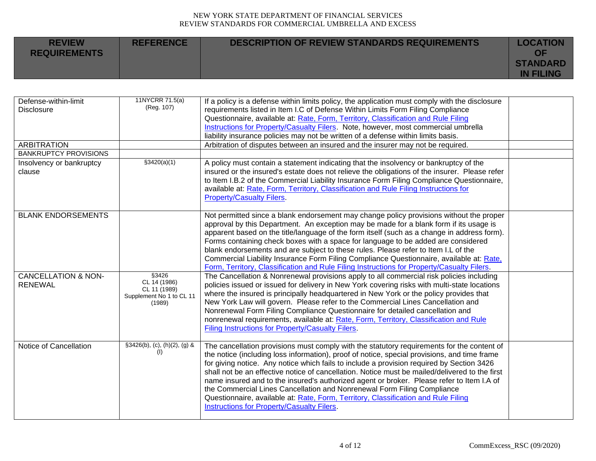| <b>REVIEW</b><br><b>REQUIREMENTS</b> | <b>REFERENCE</b> | <b>DESCRIPTION OF REVIEW STANDARDS REQUIREMENTS</b> | <b>LOCATION</b><br>ΟF               |
|--------------------------------------|------------------|-----------------------------------------------------|-------------------------------------|
|                                      |                  |                                                     | <b>STANDARD</b><br><b>IN FILING</b> |

| Defense-within-limit<br><b>Disclosure</b><br><b>ARBITRATION</b><br><b>BANKRUPTCY PROVISIONS</b> | 11NYCRR 71.5(a)<br>(Reg. 107)                                               | If a policy is a defense within limits policy, the application must comply with the disclosure<br>requirements listed in Item I.C of Defense Within Limits Form Filing Compliance<br>Questionnaire, available at: Rate, Form, Territory, Classification and Rule Filing<br>Instructions for Property/Casualty Filers. Note, however, most commercial umbrella<br>liability insurance policies may not be written of a defense within limits basis.<br>Arbitration of disputes between an insured and the insurer may not be required.                                                                                                                                                                        |  |
|-------------------------------------------------------------------------------------------------|-----------------------------------------------------------------------------|--------------------------------------------------------------------------------------------------------------------------------------------------------------------------------------------------------------------------------------------------------------------------------------------------------------------------------------------------------------------------------------------------------------------------------------------------------------------------------------------------------------------------------------------------------------------------------------------------------------------------------------------------------------------------------------------------------------|--|
| Insolvency or bankruptcy<br>clause                                                              | \$3420(a)(1)                                                                | A policy must contain a statement indicating that the insolvency or bankruptcy of the<br>insured or the insured's estate does not relieve the obligations of the insurer. Please refer<br>to Item I.B.2 of the Commercial Liability Insurance Form Filing Compliance Questionnaire,<br>available at: Rate, Form, Territory, Classification and Rule Filing Instructions for<br><b>Property/Casualty Filers.</b>                                                                                                                                                                                                                                                                                              |  |
| <b>BLANK ENDORSEMENTS</b>                                                                       |                                                                             | Not permitted since a blank endorsement may change policy provisions without the proper<br>approval by this Department. An exception may be made for a blank form if its usage is<br>apparent based on the title/language of the form itself (such as a change in address form).<br>Forms containing check boxes with a space for language to be added are considered<br>blank endorsements and are subject to these rules. Please refer to Item I.L of the<br>Commercial Liability Insurance Form Filing Compliance Questionnaire, available at: Rate,<br>Form, Territory, Classification and Rule Filing Instructions for Property/Casualty Filers.                                                        |  |
| <b>CANCELLATION &amp; NON-</b><br><b>RENEWAL</b>                                                | §3426<br>CL 14 (1986)<br>CL 11 (1989)<br>Supplement No 1 to CL 11<br>(1989) | The Cancellation & Nonrenewal provisions apply to all commercial risk policies including<br>policies issued or issued for delivery in New York covering risks with multi-state locations<br>where the insured is principally headquartered in New York or the policy provides that<br>New York Law will govern. Please refer to the Commercial Lines Cancellation and<br>Nonrenewal Form Filing Compliance Questionnaire for detailed cancellation and<br>nonrenewal requirements, available at: Rate, Form, Territory, Classification and Rule<br>Filing Instructions for Property/Casualty Filers.                                                                                                         |  |
| Notice of Cancellation                                                                          | $§3426(b), (c), (h)(2), (g)$ &<br>(1)                                       | The cancellation provisions must comply with the statutory requirements for the content of<br>the notice (including loss information), proof of notice, special provisions, and time frame<br>for giving notice. Any notice which fails to include a provision required by Section 3426<br>shall not be an effective notice of cancellation. Notice must be mailed/delivered to the first<br>name insured and to the insured's authorized agent or broker. Please refer to Item I.A of<br>the Commercial Lines Cancellation and Nonrenewal Form Filing Compliance<br>Questionnaire, available at: Rate, Form, Territory, Classification and Rule Filing<br><b>Instructions for Property/Casualty Filers.</b> |  |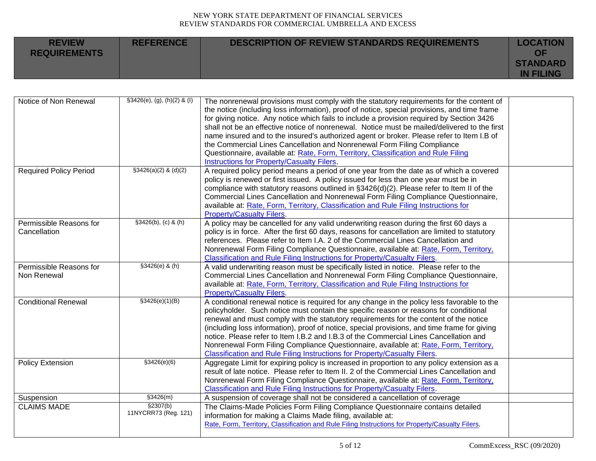| <b>REVIEW</b><br><b>REQUIREMENTS</b> | <b>REFERENCE</b> | DESCRIPTION OF REVIEW STANDARDS REQUIREMENTS | <b>LOCATION</b><br>ΟF               |
|--------------------------------------|------------------|----------------------------------------------|-------------------------------------|
|                                      |                  |                                              | <b>STANDARD</b><br><b>IN FILING</b> |

| Notice of Non Renewal                   | $§3426(e), (g), (h)(2)$ & (I)     | The nonrenewal provisions must comply with the statutory requirements for the content of<br>the notice (including loss information), proof of notice, special provisions, and time frame<br>for giving notice. Any notice which fails to include a provision required by Section 3426<br>shall not be an effective notice of nonrenewal. Notice must be mailed/delivered to the first<br>name insured and to the insured's authorized agent or broker. Please refer to Item I.B of                                                                                                                                                           |  |
|-----------------------------------------|-----------------------------------|----------------------------------------------------------------------------------------------------------------------------------------------------------------------------------------------------------------------------------------------------------------------------------------------------------------------------------------------------------------------------------------------------------------------------------------------------------------------------------------------------------------------------------------------------------------------------------------------------------------------------------------------|--|
|                                         |                                   | the Commercial Lines Cancellation and Nonrenewal Form Filing Compliance<br>Questionnaire, available at: Rate, Form, Territory, Classification and Rule Filing<br>Instructions for Property/Casualty Filers.                                                                                                                                                                                                                                                                                                                                                                                                                                  |  |
| <b>Required Policy Period</b>           | $$3426(a)(2)$ & (d)(2)            | A required policy period means a period of one year from the date as of which a covered<br>policy is renewed or first issued. A policy issued for less than one year must be in<br>compliance with statutory reasons outlined in §3426(d)(2). Please refer to Item II of the<br>Commercial Lines Cancellation and Nonrenewal Form Filing Compliance Questionnaire,<br>available at: Rate, Form, Territory, Classification and Rule Filing Instructions for<br><b>Property/Casualty Filers.</b>                                                                                                                                               |  |
| Permissible Reasons for<br>Cancellation | $$3426(b), (c)$ & (h)             | A policy may be cancelled for any valid underwriting reason during the first 60 days a<br>policy is in force. After the first 60 days, reasons for cancellation are limited to statutory<br>references. Please refer to Item I.A. 2 of the Commercial Lines Cancellation and<br>Nonrenewal Form Filing Compliance Questionnaire, available at: Rate, Form, Territory,<br>Classification and Rule Filing Instructions for Property/Casualty Filers.                                                                                                                                                                                           |  |
| Permissible Reasons for<br>Non Renewal  | $$3426(e)$ & (h)                  | A valid underwriting reason must be specifically listed in notice. Please refer to the<br>Commercial Lines Cancellation and Nonrenewal Form Filing Compliance Questionnaire,<br>available at: Rate, Form, Territory, Classification and Rule Filing Instructions for<br><b>Property/Casualty Filers.</b>                                                                                                                                                                                                                                                                                                                                     |  |
| <b>Conditional Renewal</b>              | \$3426(e)(1)(B)                   | A conditional renewal notice is required for any change in the policy less favorable to the<br>policyholder. Such notice must contain the specific reason or reasons for conditional<br>renewal and must comply with the statutory requirements for the content of the notice<br>(including loss information), proof of notice, special provisions, and time frame for giving<br>notice. Please refer to Item I.B.2 and I.B.3 of the Commercial Lines Cancellation and<br>Nonrenewal Form Filing Compliance Questionnaire, available at: Rate, Form, Territory,<br>Classification and Rule Filing Instructions for Property/Casualty Filers. |  |
| Policy Extension                        | \$3426(e)(6)                      | Aggregate Limit for expiring policy is increased in proportion to any policy extension as a<br>result of late notice. Please refer to Item II. 2 of the Commercial Lines Cancellation and<br>Nonrenewal Form Filing Compliance Questionnaire, available at: Rate, Form, Territory,<br>Classification and Rule Filing Instructions for Property/Casualty Filers.                                                                                                                                                                                                                                                                              |  |
| Suspension                              | \$3426(m)                         | A suspension of coverage shall not be considered a cancellation of coverage                                                                                                                                                                                                                                                                                                                                                                                                                                                                                                                                                                  |  |
| <b>CLAIMS MADE</b>                      | \$2307(b)<br>11NYCRR73 (Reg. 121) | The Claims-Made Policies Form Filing Compliance Questionnaire contains detailed<br>information for making a Claims Made filing, available at:<br>Rate, Form, Territory, Classification and Rule Filing Instructions for Property/Casualty Filers.                                                                                                                                                                                                                                                                                                                                                                                            |  |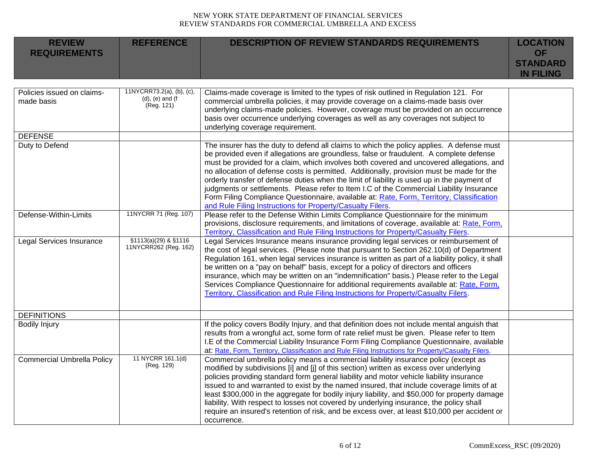| <b>REVIEW</b><br><b>REQUIREMENTS</b>     | <b>REFERENCE</b>                                                   | <b>DESCRIPTION OF REVIEW STANDARDS REQUIREMENTS</b>                                                                                                                                                                                                                                                                                                                                                                                                                                                                                                                                                                                                                                                                                 | <b>LOCATION</b><br><b>OF</b><br><b>STANDARD</b><br><b>IN FILING</b> |
|------------------------------------------|--------------------------------------------------------------------|-------------------------------------------------------------------------------------------------------------------------------------------------------------------------------------------------------------------------------------------------------------------------------------------------------------------------------------------------------------------------------------------------------------------------------------------------------------------------------------------------------------------------------------------------------------------------------------------------------------------------------------------------------------------------------------------------------------------------------------|---------------------------------------------------------------------|
| Policies issued on claims-<br>made basis | 11NYCRR73.2(a), (b), (c),<br>$(d)$ , $(e)$ and $(f)$<br>(Reg. 121) | Claims-made coverage is limited to the types of risk outlined in Regulation 121. For<br>commercial umbrella policies, it may provide coverage on a claims-made basis over<br>underlying claims-made policies. However, coverage must be provided on an occurrence<br>basis over occurrence underlying coverages as well as any coverages not subject to<br>underlying coverage requirement.                                                                                                                                                                                                                                                                                                                                         |                                                                     |
| <b>DEFENSE</b>                           |                                                                    |                                                                                                                                                                                                                                                                                                                                                                                                                                                                                                                                                                                                                                                                                                                                     |                                                                     |
| Duty to Defend                           |                                                                    | The insurer has the duty to defend all claims to which the policy applies. A defense must<br>be provided even if allegations are groundless, false or fraudulent. A complete defense<br>must be provided for a claim, which involves both covered and uncovered allegations, and<br>no allocation of defense costs is permitted. Additionally, provision must be made for the<br>orderly transfer of defense duties when the limit of liability is used up in the payment of<br>judgments or settlements. Please refer to Item I.C of the Commercial Liability Insurance<br>Form Filing Compliance Questionnaire, available at: Rate, Form, Territory, Classification<br>and Rule Filing Instructions for Property/Casualty Filers. |                                                                     |
| Defense-Within-Limits                    | 11NYCRR 71 (Reg. 107)                                              | Please refer to the Defense Within Limits Compliance Questionnaire for the minimum<br>provisions, disclosure requirements, and limitations of coverage, available at: Rate, Form,<br>Territory, Classification and Rule Filing Instructions for Property/Casualty Filers.                                                                                                                                                                                                                                                                                                                                                                                                                                                           |                                                                     |
| <b>Legal Services Insurance</b>          | §1113(a)(29) & §1116<br>11NYCRR262 (Reg. 162)                      | Legal Services Insurance means insurance providing legal services or reimbursement of<br>the cost of legal services. (Please note that pursuant to Section 262.10(d) of Department<br>Regulation 161, when legal services insurance is written as part of a liability policy, it shall<br>be written on a "pay on behalf" basis, except for a policy of directors and officers<br>insurance, which may be written on an "indemnification" basis.) Please refer to the Legal<br>Services Compliance Questionnaire for additional requirements available at: Rate, Form,<br>Territory, Classification and Rule Filing Instructions for Property/Casualty Filers.                                                                      |                                                                     |
| <b>DEFINITIONS</b>                       |                                                                    |                                                                                                                                                                                                                                                                                                                                                                                                                                                                                                                                                                                                                                                                                                                                     |                                                                     |
| <b>Bodily Injury</b>                     |                                                                    | If the policy covers Bodily Injury, and that definition does not include mental anguish that<br>results from a wrongful act, some form of rate relief must be given. Please refer to Item<br>I.E of the Commercial Liability Insurance Form Filing Compliance Questionnaire, available<br>at: Rate, Form, Territory, Classification and Rule Filing Instructions for Property/Casualty Filers.                                                                                                                                                                                                                                                                                                                                      |                                                                     |
| <b>Commercial Umbrella Policy</b>        | 11 NYCRR 161.1(d)<br>(Reg. 129)                                    | Commercial umbrella policy means a commercial liability insurance policy (except as<br>modified by subdivisions [i] and [j] of this section) written as excess over underlying<br>policies providing standard form general liability and motor vehicle liability insurance<br>issued to and warranted to exist by the named insured, that include coverage limits of at<br>least \$300,000 in the aggregate for bodily injury liability, and \$50,000 for property damage<br>liability. With respect to losses not covered by underlying insurance, the policy shall<br>require an insured's retention of risk, and be excess over, at least \$10,000 per accident or<br>occurrence.                                                |                                                                     |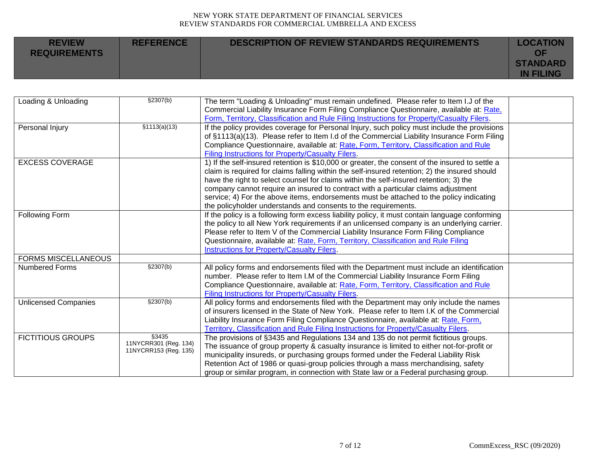| <b>REVIEW</b><br><b>REQUIREMENTS</b> | <b>REFERENCE</b> | <b>DESCRIPTION OF REVIEW STANDARDS REQUIREMENTS</b> | <b>LOCATION</b><br>ΟF               |
|--------------------------------------|------------------|-----------------------------------------------------|-------------------------------------|
|                                      |                  |                                                     | <b>STANDARD</b><br><b>IN FILING</b> |

| Loading & Unloading         | \$2307(b)                                               | The term "Loading & Unloading" must remain undefined. Please refer to Item I.J of the<br>Commercial Liability Insurance Form Filing Compliance Questionnaire, available at: Rate,<br>Form, Territory, Classification and Rule Filing Instructions for Property/Casualty Filers.                                                                                                                                                                                                                                                             |  |
|-----------------------------|---------------------------------------------------------|---------------------------------------------------------------------------------------------------------------------------------------------------------------------------------------------------------------------------------------------------------------------------------------------------------------------------------------------------------------------------------------------------------------------------------------------------------------------------------------------------------------------------------------------|--|
| Personal Injury             | \$1113(a)(13)                                           | If the policy provides coverage for Personal Injury, such policy must include the provisions<br>of §1113(a)(13). Please refer to Item I.d of the Commercial Liability Insurance Form Filing<br>Compliance Questionnaire, available at: Rate, Form, Territory, Classification and Rule<br>Filing Instructions for Property/Casualty Filers.                                                                                                                                                                                                  |  |
| <b>EXCESS COVERAGE</b>      |                                                         | 1) If the self-insured retention is \$10,000 or greater, the consent of the insured to settle a<br>claim is required for claims falling within the self-insured retention; 2) the insured should<br>have the right to select counsel for claims within the self-insured retention; 3) the<br>company cannot require an insured to contract with a particular claims adjustment<br>service; 4) For the above items, endorsements must be attached to the policy indicating<br>the policyholder understands and consents to the requirements. |  |
| Following Form              |                                                         | If the policy is a following form excess liability policy, it must contain language conforming<br>the policy to all New York requirements if an unlicensed company is an underlying carrier.<br>Please refer to Item V of the Commercial Liability Insurance Form Filing Compliance<br>Questionnaire, available at: Rate, Form, Territory, Classification and Rule Filing<br><b>Instructions for Property/Casualty Filers.</b>                                                                                                              |  |
| <b>FORMS MISCELLANEOUS</b>  |                                                         |                                                                                                                                                                                                                                                                                                                                                                                                                                                                                                                                             |  |
| <b>Numbered Forms</b>       | \$2307(b)                                               | All policy forms and endorsements filed with the Department must include an identification<br>number. Please refer to Item I.M of the Commercial Liability Insurance Form Filing<br>Compliance Questionnaire, available at: Rate, Form, Territory, Classification and Rule<br>Filing Instructions for Property/Casualty Filers.                                                                                                                                                                                                             |  |
| <b>Unlicensed Companies</b> | \$2307(b)                                               | All policy forms and endorsements filed with the Department may only include the names<br>of insurers licensed in the State of New York. Please refer to Item I.K of the Commercial<br>Liability Insurance Form Filing Compliance Questionnaire, available at: Rate, Form,<br>Territory, Classification and Rule Filing Instructions for Property/Casualty Filers.                                                                                                                                                                          |  |
| <b>FICTITIOUS GROUPS</b>    | §3435<br>11NYCRR301 (Reg. 134)<br>11NYCRR153 (Reg. 135) | The provisions of §3435 and Regulations 134 and 135 do not permit fictitious groups.<br>The issuance of group property & casualty insurance is limited to either not-for-profit or<br>municipality insureds, or purchasing groups formed under the Federal Liability Risk<br>Retention Act of 1986 or quasi-group policies through a mass merchandising, safety<br>group or similar program, in connection with State law or a Federal purchasing group.                                                                                    |  |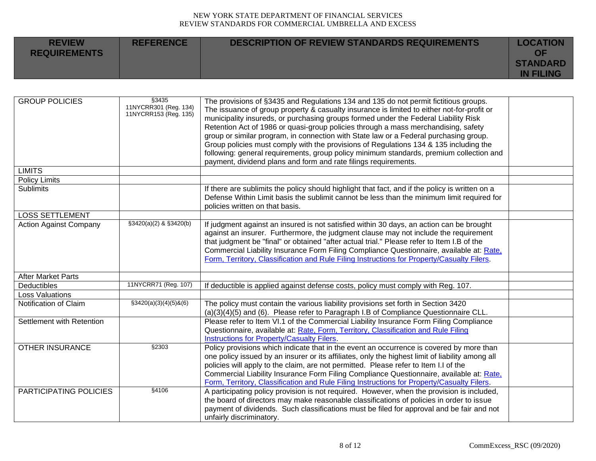| <b>REVIEW</b><br><b>REQUIREMENTS</b> | <b>REFERENCE</b> | <b>DESCRIPTION OF REVIEW STANDARDS REQUIREMENTS</b> | <b>LOCATION</b><br>OF |
|--------------------------------------|------------------|-----------------------------------------------------|-----------------------|
|                                      |                  |                                                     | <b>STANDARD</b>       |
|                                      |                  |                                                     | <b>IN FILING</b>      |

| <b>GROUP POLICIES</b>         | \$3435<br>11NYCRR301 (Reg. 134)<br>11NYCRR153 (Reg. 135) | The provisions of §3435 and Regulations 134 and 135 do not permit fictitious groups.<br>The issuance of group property & casualty insurance is limited to either not-for-profit or<br>municipality insureds, or purchasing groups formed under the Federal Liability Risk<br>Retention Act of 1986 or quasi-group policies through a mass merchandising, safety<br>group or similar program, in connection with State law or a Federal purchasing group.<br>Group policies must comply with the provisions of Regulations 134 & 135 including the<br>following: general requirements, group policy minimum standards, premium collection and<br>payment, dividend plans and form and rate filings requirements. |  |
|-------------------------------|----------------------------------------------------------|-----------------------------------------------------------------------------------------------------------------------------------------------------------------------------------------------------------------------------------------------------------------------------------------------------------------------------------------------------------------------------------------------------------------------------------------------------------------------------------------------------------------------------------------------------------------------------------------------------------------------------------------------------------------------------------------------------------------|--|
| <b>LIMITS</b>                 |                                                          |                                                                                                                                                                                                                                                                                                                                                                                                                                                                                                                                                                                                                                                                                                                 |  |
| <b>Policy Limits</b>          |                                                          |                                                                                                                                                                                                                                                                                                                                                                                                                                                                                                                                                                                                                                                                                                                 |  |
| <b>Sublimits</b>              |                                                          | If there are sublimits the policy should highlight that fact, and if the policy is written on a<br>Defense Within Limit basis the sublimit cannot be less than the minimum limit required for<br>policies written on that basis.                                                                                                                                                                                                                                                                                                                                                                                                                                                                                |  |
| <b>LOSS SETTLEMENT</b>        |                                                          |                                                                                                                                                                                                                                                                                                                                                                                                                                                                                                                                                                                                                                                                                                                 |  |
| <b>Action Against Company</b> | §3420(a)(2) & §3420(b)                                   | If judgment against an insured is not satisfied within 30 days, an action can be brought<br>against an insurer. Furthermore, the judgment clause may not include the requirement<br>that judgment be "final" or obtained "after actual trial." Please refer to Item I.B of the<br>Commercial Liability Insurance Form Filing Compliance Questionnaire, available at: Rate,<br>Form, Territory, Classification and Rule Filing Instructions for Property/Casualty Filers.                                                                                                                                                                                                                                        |  |
| <b>After Market Parts</b>     |                                                          |                                                                                                                                                                                                                                                                                                                                                                                                                                                                                                                                                                                                                                                                                                                 |  |
| Deductibles                   | 11NYCRR71 (Reg. 107)                                     | If deductible is applied against defense costs, policy must comply with Reg. 107.                                                                                                                                                                                                                                                                                                                                                                                                                                                                                                                                                                                                                               |  |
| <b>Loss Valuations</b>        |                                                          |                                                                                                                                                                                                                                                                                                                                                                                                                                                                                                                                                                                                                                                                                                                 |  |
| Notification of Claim         | $\S3420(a)(3)(4)(5)8(6)$                                 | The policy must contain the various liability provisions set forth in Section 3420<br>$(a)(3)(4)(5)$ and $(6)$ . Please refer to Paragraph I.B of Compliance Questionnaire CLL.                                                                                                                                                                                                                                                                                                                                                                                                                                                                                                                                 |  |
| Settlement with Retention     |                                                          | Please refer to Item VI.1 of the Commercial Liability Insurance Form Filing Compliance<br>Questionnaire, available at: Rate, Form, Territory, Classification and Rule Filing<br>Instructions for Property/Casualty Filers.                                                                                                                                                                                                                                                                                                                                                                                                                                                                                      |  |
| <b>OTHER INSURANCE</b>        | §2303                                                    | Policy provisions which indicate that in the event an occurrence is covered by more than<br>one policy issued by an insurer or its affiliates, only the highest limit of liability among all<br>policies will apply to the claim, are not permitted. Please refer to Item I.I of the<br>Commercial Liability Insurance Form Filing Compliance Questionnaire, available at: Rate,<br>Form, Territory, Classification and Rule Filing Instructions for Property/Casualty Filers.                                                                                                                                                                                                                                  |  |
| PARTICIPATING POLICIES        | §4106                                                    | A participating policy provision is not required. However, when the provision is included,<br>the board of directors may make reasonable classifications of policies in order to issue<br>payment of dividends. Such classifications must be filed for approval and be fair and not<br>unfairly discriminatory.                                                                                                                                                                                                                                                                                                                                                                                                 |  |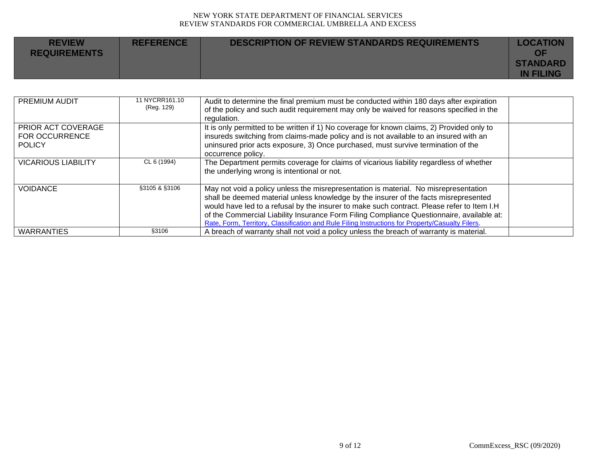| <b>REVIEW</b><br><b>REQUIREMENTS</b> | <b>REFERENCE</b> | <b>DESCRIPTION OF REVIEW STANDARDS REQUIREMENTS</b> | <b>LOCATION</b><br>ΟF               |
|--------------------------------------|------------------|-----------------------------------------------------|-------------------------------------|
|                                      |                  |                                                     | <b>STANDARD</b><br><b>IN FILING</b> |

| PREMIUM AUDIT                                                | 11 NYCRR161.10<br>(Reg. 129) | Audit to determine the final premium must be conducted within 180 days after expiration<br>of the policy and such audit requirement may only be waived for reasons specified in the<br>regulation.                                                                                                                                                                                                                                                                          |  |
|--------------------------------------------------------------|------------------------------|-----------------------------------------------------------------------------------------------------------------------------------------------------------------------------------------------------------------------------------------------------------------------------------------------------------------------------------------------------------------------------------------------------------------------------------------------------------------------------|--|
| PRIOR ACT COVERAGE<br><b>FOR OCCURRENCE</b><br><b>POLICY</b> |                              | It is only permitted to be written if 1) No coverage for known claims, 2) Provided only to<br>insureds switching from claims-made policy and is not available to an insured with an<br>uninsured prior acts exposure, 3) Once purchased, must survive termination of the<br>occurrence policy.                                                                                                                                                                              |  |
| <b>VICARIOUS LIABILITY</b>                                   | CL 6 (1994)                  | The Department permits coverage for claims of vicarious liability regardless of whether<br>the underlying wrong is intentional or not.                                                                                                                                                                                                                                                                                                                                      |  |
| <b>VOIDANCE</b>                                              | §3105 & §3106                | May not void a policy unless the misrepresentation is material. No misrepresentation<br>shall be deemed material unless knowledge by the insurer of the facts misrepresented<br>would have led to a refusal by the insurer to make such contract. Please refer to Item I.H<br>of the Commercial Liability Insurance Form Filing Compliance Questionnaire, available at:<br>Rate, Form, Territory, Classification and Rule Filing Instructions for Property/Casualty Filers. |  |
| <b>WARRANTIES</b>                                            | §3106                        | A breach of warranty shall not void a policy unless the breach of warranty is material.                                                                                                                                                                                                                                                                                                                                                                                     |  |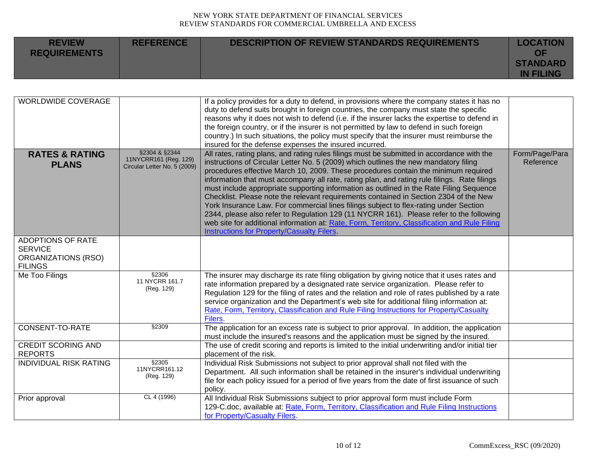| <b>REVIEW</b><br><b>REQUIREMENTS</b> | <b>REFERENCE</b> | DESCRIPTION OF REVIEW STANDARDS REQUIREMENTS | <b>LOCATION</b><br>ΩF               |
|--------------------------------------|------------------|----------------------------------------------|-------------------------------------|
|                                      |                  |                                              | <b>STANDARD</b><br><b>IN FILING</b> |

| <b>WORLDWIDE COVERAGE</b>                                                           |                                                                        | If a policy provides for a duty to defend, in provisions where the company states it has no<br>duty to defend suits brought in foreign countries, the company must state the specific<br>reasons why it does not wish to defend (i.e. if the insurer lacks the expertise to defend in<br>the foreign country, or if the insurer is not permitted by law to defend in such foreign<br>country.) In such situations, the policy must specify that the insurer must reimburse the<br>insured for the defense expenses the insured incurred.                                                                                                                                                                                                                                                                                                                                                               |                             |
|-------------------------------------------------------------------------------------|------------------------------------------------------------------------|--------------------------------------------------------------------------------------------------------------------------------------------------------------------------------------------------------------------------------------------------------------------------------------------------------------------------------------------------------------------------------------------------------------------------------------------------------------------------------------------------------------------------------------------------------------------------------------------------------------------------------------------------------------------------------------------------------------------------------------------------------------------------------------------------------------------------------------------------------------------------------------------------------|-----------------------------|
| <b>RATES &amp; RATING</b><br><b>PLANS</b>                                           | §2304 & §2344<br>11NYCRR161 (Reg. 129)<br>Circular Letter No. 5 (2009) | All rates, rating plans, and rating rules filings must be submitted in accordance with the<br>instructions of Circular Letter No. 5 (2009) which outlines the new mandatory filing<br>procedures effective March 10, 2009. These procedures contain the minimum required<br>information that must accompany all rate, rating plan, and rating rule filings. Rate filings<br>must include appropriate supporting information as outlined in the Rate Filing Sequence<br>Checklist. Please note the relevant requirements contained in Section 2304 of the New<br>York Insurance Law. For commercial lines filings subject to flex-rating under Section<br>2344, please also refer to Regulation 129 (11 NYCRR 161). Please refer to the following<br>web site for additional information at: Rate, Form, Territory, Classification and Rule Filing<br><b>Instructions for Property/Casualty Filers.</b> | Form/Page/Para<br>Reference |
| <b>ADOPTIONS OF RATE</b><br><b>SERVICE</b><br>ORGANIZATIONS (RSO)<br><b>FILINGS</b> |                                                                        |                                                                                                                                                                                                                                                                                                                                                                                                                                                                                                                                                                                                                                                                                                                                                                                                                                                                                                        |                             |
| Me Too Filings                                                                      | \$2306<br>11 NYCRR 161.7<br>(Reg. 129)                                 | The insurer may discharge its rate filing obligation by giving notice that it uses rates and<br>rate information prepared by a designated rate service organization. Please refer to<br>Regulation 129 for the filing of rates and the relation and role of rates published by a rate<br>service organization and the Department's web site for additional filing information at:<br>Rate, Form, Territory, Classification and Rule Filing Instructions for Property/Casualty<br>Filers.                                                                                                                                                                                                                                                                                                                                                                                                               |                             |
| CONSENT-TO-RATE                                                                     | §2309                                                                  | The application for an excess rate is subject to prior approval. In addition, the application<br>must include the insured's reasons and the application must be signed by the insured.                                                                                                                                                                                                                                                                                                                                                                                                                                                                                                                                                                                                                                                                                                                 |                             |
| <b>CREDIT SCORING AND</b><br><b>REPORTS</b>                                         |                                                                        | The use of credit scoring and reports is limited to the initial underwriting and/or initial tier<br>placement of the risk.                                                                                                                                                                                                                                                                                                                                                                                                                                                                                                                                                                                                                                                                                                                                                                             |                             |
| <b>INDIVIDUAL RISK RATING</b>                                                       | §2305<br>11NYCRR161.12<br>(Reg. 129)                                   | Individual Risk Submissions not subject to prior approval shall not filed with the<br>Department. All such information shall be retained in the insurer's individual underwriting<br>file for each policy issued for a period of five years from the date of first issuance of such<br>policy.                                                                                                                                                                                                                                                                                                                                                                                                                                                                                                                                                                                                         |                             |
| Prior approval                                                                      | CL 4 (1996)                                                            | All Individual Risk Submissions subject to prior approval form must include Form<br>129-C.doc, available at: Rate, Form, Territory, Classification and Rule Filing Instructions<br>for Property/Casualty Filers.                                                                                                                                                                                                                                                                                                                                                                                                                                                                                                                                                                                                                                                                                       |                             |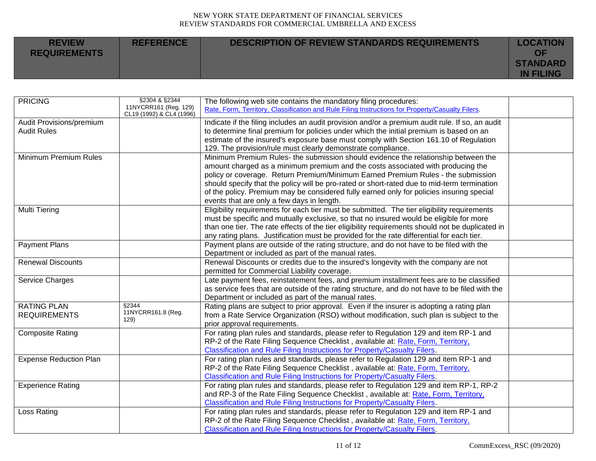| <b>REVIEW</b><br><b>REQUIREMENTS</b> | <b>REFERENCE</b> | <b>DESCRIPTION OF REVIEW STANDARDS REQUIREMENTS</b> | <b>LOCATION</b><br>OF<br><b>STANDARD</b> |
|--------------------------------------|------------------|-----------------------------------------------------|------------------------------------------|
|                                      |                  |                                                     | <b>IN FILING</b>                         |

| <b>PRICING</b>                | §2304 & §2344<br>11NYCRR161 (Reg. 129)<br>CL19 (1992) & CL4 (1996) | The following web site contains the mandatory filing procedures:<br>Rate, Form, Territory, Classification and Rule Filing Instructions for Property/Casualty Filers. |  |
|-------------------------------|--------------------------------------------------------------------|----------------------------------------------------------------------------------------------------------------------------------------------------------------------|--|
| Audit Provisions/premium      |                                                                    | Indicate if the filing includes an audit provision and/or a premium audit rule. If so, an audit                                                                      |  |
| <b>Audit Rules</b>            |                                                                    | to determine final premium for policies under which the initial premium is based on an                                                                               |  |
|                               |                                                                    | estimate of the insured's exposure base must comply with Section 161.10 of Regulation                                                                                |  |
|                               |                                                                    | 129. The provision/rule must clearly demonstrate compliance.                                                                                                         |  |
| Minimum Premium Rules         |                                                                    | Minimum Premium Rules- the submission should evidence the relationship between the                                                                                   |  |
|                               |                                                                    | amount charged as a minimum premium and the costs associated with producing the                                                                                      |  |
|                               |                                                                    | policy or coverage. Return Premium/Minimum Earned Premium Rules - the submission                                                                                     |  |
|                               |                                                                    | should specify that the policy will be pro-rated or short-rated due to mid-term termination                                                                          |  |
|                               |                                                                    | of the policy. Premium may be considered fully earned only for policies insuring special                                                                             |  |
|                               |                                                                    | events that are only a few days in length.                                                                                                                           |  |
| <b>Multi Tiering</b>          |                                                                    | Eligibility requirements for each tier must be submitted. The tier eligibility requirements                                                                          |  |
|                               |                                                                    | must be specific and mutually exclusive, so that no insured would be eligible for more                                                                               |  |
|                               |                                                                    | than one tier. The rate effects of the tier eligibility requirements should not be duplicated in                                                                     |  |
|                               |                                                                    | any rating plans. Justification must be provided for the rate differential for each tier.                                                                            |  |
| <b>Payment Plans</b>          |                                                                    | Payment plans are outside of the rating structure, and do not have to be filed with the                                                                              |  |
|                               |                                                                    | Department or included as part of the manual rates.                                                                                                                  |  |
| <b>Renewal Discounts</b>      |                                                                    | Renewal Discounts or credits due to the insured's longevity with the company are not                                                                                 |  |
|                               |                                                                    | permitted for Commercial Liability coverage.                                                                                                                         |  |
| Service Charges               |                                                                    | Late payment fees, reinstatement fees, and premium installment fees are to be classified                                                                             |  |
|                               |                                                                    |                                                                                                                                                                      |  |
|                               |                                                                    | as service fees that are outside of the rating structure, and do not have to be filed with the                                                                       |  |
|                               | §2344                                                              | Department or included as part of the manual rates.                                                                                                                  |  |
| <b>RATING PLAN</b>            | 11NYCRR161.8 (Reg.                                                 | Rating plans are subject to prior approval. Even if the insurer is adopting a rating plan                                                                            |  |
| <b>REQUIREMENTS</b>           | 129)                                                               | from a Rate Service Organization (RSO) without modification, such plan is subject to the                                                                             |  |
|                               |                                                                    | prior approval requirements.                                                                                                                                         |  |
| <b>Composite Rating</b>       |                                                                    | For rating plan rules and standards, please refer to Regulation 129 and item RP-1 and                                                                                |  |
|                               |                                                                    | RP-2 of the Rate Filing Sequence Checklist, available at: Rate, Form, Territory,                                                                                     |  |
|                               |                                                                    | <b>Classification and Rule Filing Instructions for Property/Casualty Filers.</b>                                                                                     |  |
| <b>Expense Reduction Plan</b> |                                                                    | For rating plan rules and standards, please refer to Regulation 129 and item RP-1 and                                                                                |  |
|                               |                                                                    | RP-2 of the Rate Filing Sequence Checklist, available at: Rate, Form, Territory,                                                                                     |  |
|                               |                                                                    | Classification and Rule Filing Instructions for Property/Casualty Filers.                                                                                            |  |
| <b>Experience Rating</b>      |                                                                    | For rating plan rules and standards, please refer to Regulation 129 and item RP-1, RP-2                                                                              |  |
|                               |                                                                    | and RP-3 of the Rate Filing Sequence Checklist, available at: Rate, Form, Territory,                                                                                 |  |
|                               |                                                                    | Classification and Rule Filing Instructions for Property/Casualty Filers.                                                                                            |  |
| Loss Rating                   |                                                                    | For rating plan rules and standards, please refer to Regulation 129 and item RP-1 and                                                                                |  |
|                               |                                                                    | RP-2 of the Rate Filing Sequence Checklist, available at: Rate, Form, Territory,                                                                                     |  |
|                               |                                                                    | Classification and Rule Filing Instructions for Property/Casualty Filers.                                                                                            |  |